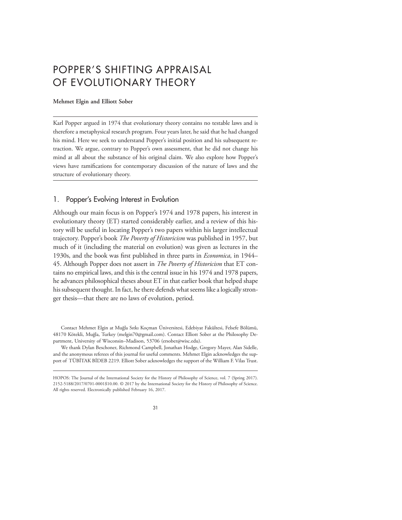# POPPER'S SHIFTING APPRAISAL OF EVOLUTIONARY THEORY

#### Mehmet Elgin and Elliott Sober

Karl Popper argued in 1974 that evolutionary theory contains no testable laws and is therefore a metaphysical research program. Four years later, he said that he had changed his mind. Here we seek to understand Popper's initial position and his subsequent retraction. We argue, contrary to Popper's own assessment, that he did not change his mind at all about the substance of his original claim. We also explore how Popper's views have ramifications for contemporary discussion of the nature of laws and the structure of evolutionary theory.

## 1. Popper's Evolving Interest in Evolution

Although our main focus is on Popper's 1974 and 1978 papers, his interest in evolutionary theory (ET) started considerably earlier, and a review of this history will be useful in locating Popper's two papers within his larger intellectual trajectory. Popper's book The Poverty of Historicism was published in 1957, but much of it (including the material on evolution) was given as lectures in the 1930s, and the book was first published in three parts in *Economica*, in 1944– 45. Although Popper does not assert in *The Poverty of Historicism* that ET contains no empirical laws, and this is the central issue in his 1974 and 1978 papers, he advances philosophical theses about ET in that earlier book that helped shape his subsequent thought. In fact, he there defends what seems like a logically stronger thesis—that there are no laws of evolution, period.

Contact Mehmet Elgin at Muğla Sıtkı Koçman Üniversitesi, Edebiyat Fakültesi, Felsefe Bölümü, 48170 Kötekli, Muğla, Turkey (melgin70@gmail.com). Contact Elliott Sober at the Philosophy Department, University of Wisconsin–Madison, 53706 (ersober@wisc.edu).

We thank Dylan Beschoner, Richmond Campbell, Jonathan Hodge, Gregory Mayer, Alan Sidelle, and the anonymous referees of this journal for useful comments. Mehmet Elgin acknowledges the support of TÜBİTAK BİDEB 2219. Elliott Sober acknowledges the support of the William F. Vilas Trust.

HOPOS: The Journal of the International Society for the History of Philosophy of Science, vol. 7 (Spring 2017). 2152-5188/2017/0701-0001\$10.00. © 2017 by the International Society for the History of Philosophy of Science. All rights reserved. Electronically published February 16, 2017.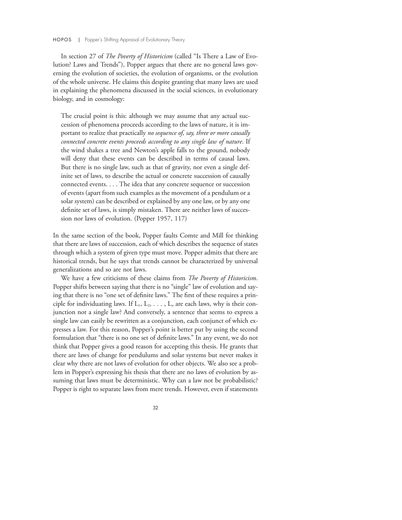#### HOPOS | Popper's Shifting Appraisal of Evolutionary Theory

In section 27 of *The Poverty of Historicism* (called "Is There a Law of Evolution? Laws and Trends"), Popper argues that there are no general laws governing the evolution of societies, the evolution of organisms, or the evolution of the whole universe. He claims this despite granting that many laws are used in explaining the phenomena discussed in the social sciences, in evolutionary biology, and in cosmology:

The crucial point is this: although we may assume that any actual succession of phenomena proceeds according to the laws of nature, it is important to realize that practically no sequence of, say, three or more causally connected concrete events proceeds according to any single law of nature. If the wind shakes a tree and Newton's apple falls to the ground, nobody will deny that these events can be described in terms of causal laws. But there is no single law, such as that of gravity, nor even a single definite set of laws, to describe the actual or concrete succession of causally connected events. ... The idea that any concrete sequence or succession of events (apart from such examples as the movement of a pendulum or a solar system) can be described or explained by any one law, or by any one definite set of laws, is simply mistaken. There are neither laws of succession nor laws of evolution. (Popper 1957, 117)

In the same section of the book, Popper faults Comte and Mill for thinking that there are laws of succession, each of which describes the sequence of states through which a system of given type must move. Popper admits that there are historical trends, but he says that trends cannot be characterized by universal generalizations and so are not laws.

We have a few criticisms of these claims from The Poverty of Historicism. Popper shifts between saying that there is no "single" law of evolution and saying that there is no "one set of definite laws." The first of these requires a principle for individuating laws. If  $L_1, L_2, \ldots, L_n$  are each laws, why is their conjunction not a single law? And conversely, a sentence that seems to express a single law can easily be rewritten as a conjunction, each conjunct of which expresses a law. For this reason, Popper's point is better put by using the second formulation that "there is no one set of definite laws." In any event, we do not think that Popper gives a good reason for accepting this thesis. He grants that there are laws of change for pendulums and solar systems but never makes it clear why there are not laws of evolution for other objects. We also see a problem in Popper's expressing his thesis that there are no laws of evolution by assuming that laws must be deterministic. Why can a law not be probabilistic? Popper is right to separate laws from mere trends. However, even if statements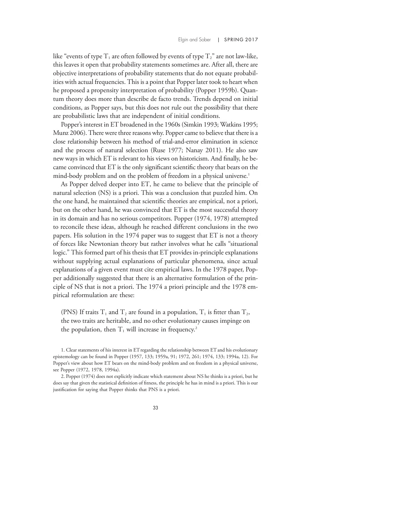like "events of type  $T_1$  are often followed by events of type  $T_2$ " are not law-like, this leaves it open that probability statements sometimes are. After all, there are objective interpretations of probability statements that do not equate probabilities with actual frequencies. This is a point that Popper later took to heart when he proposed a propensity interpretation of probability (Popper 1959b). Quantum theory does more than describe de facto trends. Trends depend on initial conditions, as Popper says, but this does not rule out the possibility that there are probabilistic laws that are independent of initial conditions.

Popper's interest in ET broadened in the 1960s (Simkin 1993; Watkins 1995; Munz 2006). There were three reasons why. Popper came to believe that there is a close relationship between his method of trial-and-error elimination in science and the process of natural selection (Ruse 1977; Nanay 2011). He also saw new ways in which ET is relevant to his views on historicism. And finally, he became convinced that ET is the only significant scientific theory that bears on the mind-body problem and on the problem of freedom in a physical universe.<sup>1</sup>

As Popper delved deeper into ET, he came to believe that the principle of natural selection (NS) is a priori. This was a conclusion that puzzled him. On the one hand, he maintained that scientific theories are empirical, not a priori, but on the other hand, he was convinced that ET is the most successful theory in its domain and has no serious competitors. Popper (1974, 1978) attempted to reconcile these ideas, although he reached different conclusions in the two papers. His solution in the 1974 paper was to suggest that ET is not a theory of forces like Newtonian theory but rather involves what he calls "situational logic." This formed part of his thesis that ET provides in-principle explanations without supplying actual explanations of particular phenomena, since actual explanations of a given event must cite empirical laws. In the 1978 paper, Popper additionally suggested that there is an alternative formulation of the principle of NS that is not a priori. The 1974 a priori principle and the 1978 empirical reformulation are these:

(PNS) If traits  $T_1$  and  $T_2$  are found in a population,  $T_1$  is fitter than  $T_2$ , the two traits are heritable, and no other evolutionary causes impinge on the population, then  $T_1$  will increase in frequency.<sup>2</sup>

1. Clear statements of his interest in ET regarding the relationship between ET and his evolutionary epistemology can be found in Popper (1957, 133; 1959a, 91; 1972, 261; 1974, 133; 1994a, 12). For Popper's view about how ET bears on the mind-body problem and on freedom in a physical universe, see Popper (1972, 1978, 1994a).

2. Popper (1974) does not explicitly indicate which statement about NS he thinks is a priori, but he does say that given the statistical definition of fitness, the principle he has in mind is a priori. This is our justification for saying that Popper thinks that PNS is a priori.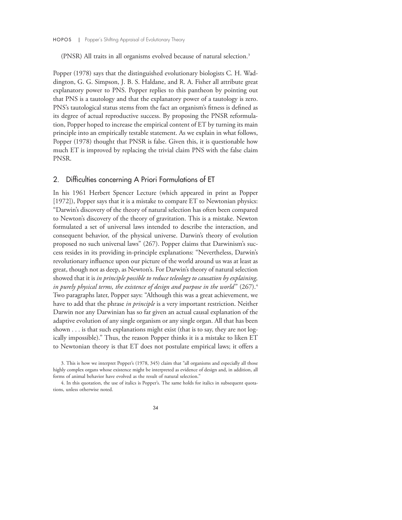(PNSR) All traits in all organisms evolved because of natural selection.3

Popper (1978) says that the distinguished evolutionary biologists C. H. Waddington, G. G. Simpson, J. B. S. Haldane, and R. A. Fisher all attribute great explanatory power to PNS. Popper replies to this pantheon by pointing out that PNS is a tautology and that the explanatory power of a tautology is zero. PNS's tautological status stems from the fact an organism's fitness is defined as its degree of actual reproductive success. By proposing the PNSR reformulation, Popper hoped to increase the empirical content of ET by turning its main principle into an empirically testable statement. As we explain in what follows, Popper (1978) thought that PNSR is false. Given this, it is questionable how much ET is improved by replacing the trivial claim PNS with the false claim PNSR.

#### 2. Difficulties concerning A Priori Formulations of ET

In his 1961 Herbert Spencer Lecture (which appeared in print as Popper [1972]), Popper says that it is a mistake to compare ET to Newtonian physics: "Darwin's discovery of the theory of natural selection has often been compared to Newton's discovery of the theory of gravitation. This is a mistake. Newton formulated a set of universal laws intended to describe the interaction, and consequent behavior, of the physical universe. Darwin's theory of evolution proposed no such universal laws" (267). Popper claims that Darwinism's success resides in its providing in-principle explanations: "Nevertheless, Darwin's revolutionary influence upon our picture of the world around us was at least as great, though not as deep, as Newton's. For Darwin's theory of natural selection showed that it is in principle possible to reduce teleology to causation by explaining, in purely physical terms, the existence of design and purpose in the world"  $(267).4$ Two paragraphs later, Popper says: "Although this was a great achievement, we have to add that the phrase in principle is a very important restriction. Neither Darwin nor any Darwinian has so far given an actual causal explanation of the adaptive evolution of any single organism or any single organ. All that has been shown ... is that such explanations might exist (that is to say, they are not logically impossible)." Thus, the reason Popper thinks it is a mistake to liken ET to Newtonian theory is that ET does not postulate empirical laws; it offers a

<sup>3.</sup> This is how we interpret Popper's (1978, 345) claim that "all organisms and especially all those highly complex organs whose existence might be interpreted as evidence of design and, in addition, all forms of animal behavior have evolved as the result of natural selection."

<sup>4.</sup> In this quotation, the use of italics is Popper's. The same holds for italics in subsequent quotations, unless otherwise noted.

<sup>34</sup>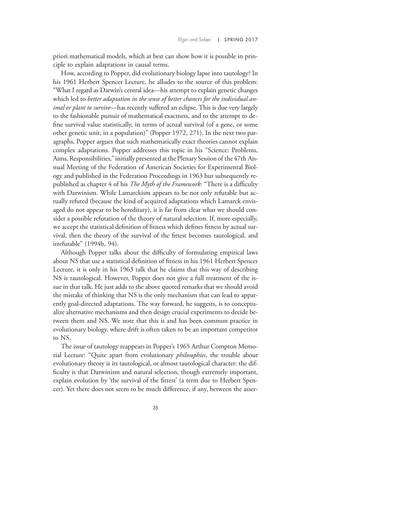priori mathematical models, which at best can show how it is possible in principle to explain adaptations in causal terms.

How, according to Popper, did evolutionary biology lapse into tautology? In his 1961 Herbert Spencer Lecture, he alludes to the source of this problem: "What I regard as Darwin's central idea—his attempt to explain genetic changes which led to *better adaptation in the sense of better chances for the individual an*imal or plant to survive—has recently suffered an eclipse. This is due very largely to the fashionable pursuit of mathematical exactness, and to the attempt to define survival value statistically, in terms of actual survival (of a gene, or some other genetic unit, in a population)" (Popper 1972, 271). In the next two paragraphs, Popper argues that such mathematically exact theories cannot explain complex adaptations. Popper addresses this topic in his "Science: Problems, Aims, Responsibilities,"initially presented at the Plenary Session of the 47th Annual Meeting of the Federation of American Societies for Experimental Biology and published in the Federation Proceedings in 1963 but subsequently republished as chapter 4 of his The Myth of the Framework: "There is a difficulty with Darwinism. While Lamarckism appears to be not only refutable but actually refuted (because the kind of acquired adaptations which Lamarck envisaged do not appear to be hereditary), it is far from clear what we should consider a possible refutation of the theory of natural selection. If, more especially, we accept the statistical definition of fitness which defines fitness by actual survival, then the theory of the survival of the fittest becomes tautological, and irrefutable" (1994b, 94).

Although Popper talks about the difficulty of formulating empirical laws about NS that use a statistical definition of fitness in his 1961 Herbert Spencer Lecture, it is only in his 1963 talk that he claims that this way of describing NS is tautological. However, Popper does not give a full treatment of the issue in that talk. He just adds to the above quoted remarks that we should avoid the mistake of thinking that NS is the only mechanism that can lead to apparently goal-directed adaptations. The way forward, he suggests, is to conceptualize alternative mechanisms and then design crucial experiments to decide between them and NS. We note that this is and has been common practice in evolutionary biology, where drift is often taken to be an important competitor to NS.

The issue of tautology reappears in Popper's 1965 Arthur Compton Memorial Lecture: "Quite apart from evolutionary *philosophies*, the trouble about evolutionary theory is its tautological, or almost tautological character: the difficulty is that Darwinism and natural selection, though extremely important, explain evolution by 'the survival of the fittest' (a term due to Herbert Spencer). Yet there does not seem to be much difference, if any, between the asser-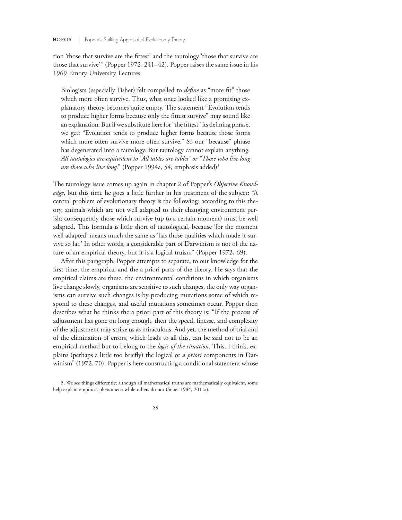tion 'those that survive are the fittest' and the tautology 'those that survive are those that survive'" (Popper 1972, 241–42). Popper raises the same issue in his 1969 Emory University Lectures:

Biologists (especially Fisher) felt compelled to *define* as "more fit" those which more often survive. Thus, what once looked like a promising explanatory theory becomes quite empty. The statement "Evolution tends to produce higher forms because only the fittest survive" may sound like an explanation. But if we substitute here for "the fittest" its defining phrase, we get: "Evolution tends to produce higher forms because those forms which more often survive more often survive." So our "because" phrase has degenerated into a tautology. But tautology cannot explain anything. All tautologies are equivalent to "All tables are tables" or "Those who live long are those who live long." (Popper 1994a, 54, emphasis added)<sup>5</sup>

The tautology issue comes up again in chapter 2 of Popper's Objective Knowledge, but this time he goes a little further in his treatment of the subject: "A central problem of evolutionary theory is the following: according to this theory, animals which are not well adapted to their changing environment perish; consequently those which survive (up to a certain moment) must be well adapted. This formula is little short of tautological, because 'for the moment well adapted' means much the same as 'has those qualities which made it survive so far.' In other words, a considerable part of Darwinism is not of the nature of an empirical theory, but it is a logical truism" (Popper 1972, 69).

After this paragraph, Popper attempts to separate, to our knowledge for the first time, the empirical and the a priori parts of the theory. He says that the empirical claims are these: the environmental conditions in which organisms live change slowly, organisms are sensitive to such changes, the only way organisms can survive such changes is by producing mutations some of which respond to these changes, and useful mutations sometimes occur. Popper then describes what he thinks the a priori part of this theory is: "If the process of adjustment has gone on long enough, then the speed, finesse, and complexity of the adjustment may strike us as miraculous. And yet, the method of trial and of the elimination of errors, which leads to all this, can be said not to be an empirical method but to belong to the logic of the situation. This, I think, explains (perhaps a little too briefly) the logical or *a priori* components in Darwinism" (1972, 70). Popper is here constructing a conditional statement whose

5. We see things differently; although all mathematical truths are mathematically equivalent, some help explain empirical phenomena while others do not (Sober 1984, 2011a).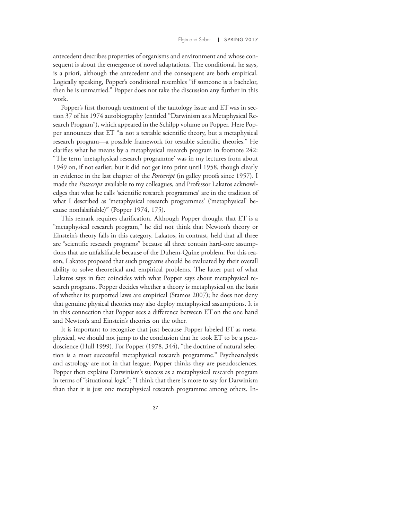antecedent describes properties of organisms and environment and whose consequent is about the emergence of novel adaptations. The conditional, he says, is a priori, although the antecedent and the consequent are both empirical. Logically speaking, Popper's conditional resembles "if someone is a bachelor, then he is unmarried." Popper does not take the discussion any further in this work.

Popper's first thorough treatment of the tautology issue and ET was in section 37 of his 1974 autobiography (entitled "Darwinism as a Metaphysical Research Program"), which appeared in the Schilpp volume on Popper. Here Popper announces that ET "is not a testable scientific theory, but a metaphysical research program—a possible framework for testable scientific theories." He clarifies what he means by a metaphysical research program in footnote 242: "The term 'metaphysical research programme' was in my lectures from about 1949 on, if not earlier; but it did not get into print until 1958, though clearly in evidence in the last chapter of the *Postscript* (in galley proofs since 1957). I made the Postscript available to my colleagues, and Professor Lakatos acknowledges that what he calls 'scientific research programmes' are in the tradition of what I described as 'metaphysical research programmes' ('metaphysical' because nonfalsifiable)" (Popper 1974, 175).

This remark requires clarification. Although Popper thought that ET is a "metaphysical research program," he did not think that Newton's theory or Einstein's theory falls in this category. Lakatos, in contrast, held that all three are "scientific research programs" because all three contain hard-core assumptions that are unfalsifiable because of the Duhem-Quine problem. For this reason, Lakatos proposed that such programs should be evaluated by their overall ability to solve theoretical and empirical problems. The latter part of what Lakatos says in fact coincides with what Popper says about metaphysical research programs. Popper decides whether a theory is metaphysical on the basis of whether its purported laws are empirical (Stamos 2007); he does not deny that genuine physical theories may also deploy metaphysical assumptions. It is in this connection that Popper sees a difference between ET on the one hand and Newton's and Einstein's theories on the other.

It is important to recognize that just because Popper labeled ET as metaphysical, we should not jump to the conclusion that he took ET to be a pseudoscience (Hull 1999). For Popper (1978, 344), "the doctrine of natural selection is a most successful metaphysical research programme." Psychoanalysis and astrology are not in that league; Popper thinks they are pseudosciences. Popper then explains Darwinism's success as a metaphysical research program in terms of "situational logic": "I think that there is more to say for Darwinism than that it is just one metaphysical research programme among others. In-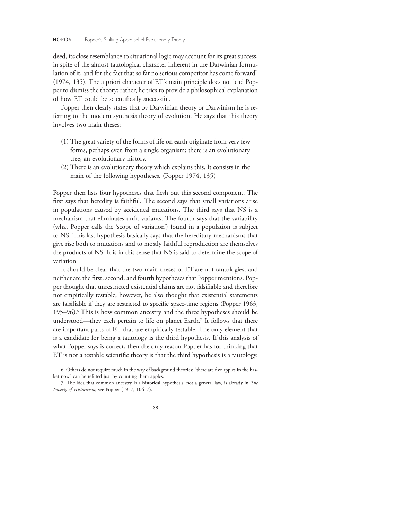deed, its close resemblance to situational logic may account for its great success, in spite of the almost tautological character inherent in the Darwinian formulation of it, and for the fact that so far no serious competitor has come forward" (1974, 135). The a priori character of ET's main principle does not lead Popper to dismiss the theory; rather, he tries to provide a philosophical explanation of how ET could be scientifically successful.

Popper then clearly states that by Darwinian theory or Darwinism he is referring to the modern synthesis theory of evolution. He says that this theory involves two main theses:

- (1) The great variety of the forms of life on earth originate from very few forms, perhaps even from a single organism: there is an evolutionary tree, an evolutionary history.
- (2) There is an evolutionary theory which explains this. It consists in the main of the following hypotheses. (Popper 1974, 135)

Popper then lists four hypotheses that flesh out this second component. The first says that heredity is faithful. The second says that small variations arise in populations caused by accidental mutations. The third says that NS is a mechanism that eliminates unfit variants. The fourth says that the variability (what Popper calls the 'scope of variation') found in a population is subject to NS. This last hypothesis basically says that the hereditary mechanisms that give rise both to mutations and to mostly faithful reproduction are themselves the products of NS. It is in this sense that NS is said to determine the scope of variation.

It should be clear that the two main theses of ET are not tautologies, and neither are the first, second, and fourth hypotheses that Popper mentions. Popper thought that unrestricted existential claims are not falsifiable and therefore not empirically testable; however, he also thought that existential statements are falsifiable if they are restricted to specific space-time regions (Popper 1963, 195–96).6 This is how common ancestry and the three hypotheses should be understood—they each pertain to life on planet Earth.<sup>7</sup> It follows that there are important parts of ET that are empirically testable. The only element that is a candidate for being a tautology is the third hypothesis. If this analysis of what Popper says is correct, then the only reason Popper has for thinking that ET is not a testable scientific theory is that the third hypothesis is a tautology.

<sup>7.</sup> The idea that common ancestry is a historical hypothesis, not a general law, is already in The Poverty of Historicism; see Popper (1957, 106-7).



<sup>6.</sup> Others do not require much in the way of background theories; "there are five apples in the basket now" can be refuted just by counting them apples.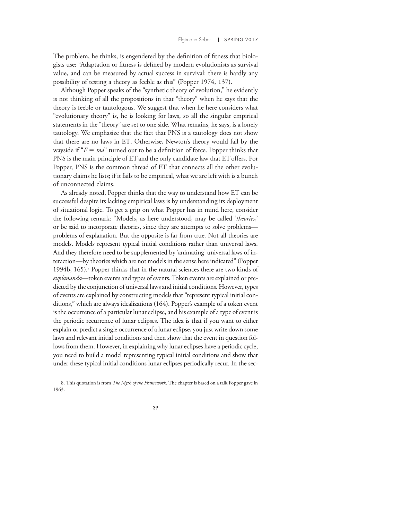The problem, he thinks, is engendered by the definition of fitness that biologists use: "Adaptation or fitness is defined by modern evolutionists as survival value, and can be measured by actual success in survival: there is hardly any possibility of testing a theory as feeble as this" (Popper 1974, 137).

Although Popper speaks of the "synthetic theory of evolution," he evidently is not thinking of all the propositions in that "theory" when he says that the theory is feeble or tautologous. We suggest that when he here considers what "evolutionary theory" is, he is looking for laws, so all the singular empirical statements in the "theory" are set to one side. What remains, he says, is a lonely tautology. We emphasize that the fact that PNS is a tautology does not show that there are no laws in ET. Otherwise, Newton's theory would fall by the wayside if " $F = ma$ " turned out to be a definition of force. Popper thinks that PNS is the main principle of ET and the only candidate law that ET offers. For Popper, PNS is the common thread of ET that connects all the other evolutionary claims he lists; if it fails to be empirical, what we are left with is a bunch of unconnected claims.

As already noted, Popper thinks that the way to understand how ET can be successful despite its lacking empirical laws is by understanding its deployment of situational logic. To get a grip on what Popper has in mind here, consider the following remark: "Models, as here understood, may be called '*theories*,' or be said to incorporate theories, since they are attempts to solve problems problems of explanation. But the opposite is far from true. Not all theories are models. Models represent typical initial conditions rather than universal laws. And they therefore need to be supplemented by 'animating' universal laws of interaction—by theories which are not models in the sense here indicated"(Popper 1994b, 165).<sup>8</sup> Popper thinks that in the natural sciences there are two kinds of explananda—token events and types of events. Token events are explained or predicted by the conjunction of universal laws and initial conditions. However, types of events are explained by constructing models that"represent typical initial conditions," which are always idealizations (164). Popper's example of a token event is the occurrence of a particular lunar eclipse, and his example of a type of event is the periodic recurrence of lunar eclipses. The idea is that if you want to either explain or predict a single occurrence of a lunar eclipse, you just write down some laws and relevant initial conditions and then show that the event in question follows from them. However, in explaining why lunar eclipses have a periodic cycle, you need to build a model representing typical initial conditions and show that under these typical initial conditions lunar eclipses periodically recur. In the sec-

8. This quotation is from The Myth of the Framework. The chapter is based on a talk Popper gave in 1963.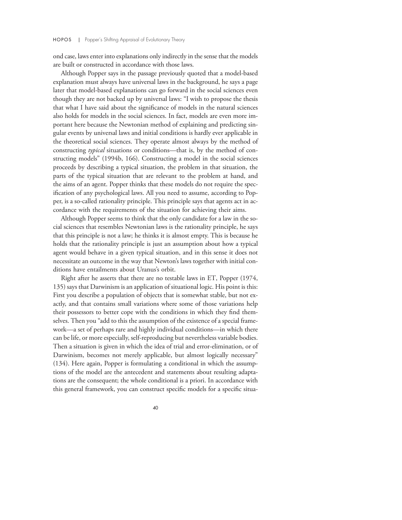ond case, laws enter into explanations only indirectly in the sense that the models are built or constructed in accordance with those laws.

Although Popper says in the passage previously quoted that a model-based explanation must always have universal laws in the background, he says a page later that model-based explanations can go forward in the social sciences even though they are not backed up by universal laws: "I wish to propose the thesis that what I have said about the significance of models in the natural sciences also holds for models in the social sciences. In fact, models are even more important here because the Newtonian method of explaining and predicting singular events by universal laws and initial conditions is hardly ever applicable in the theoretical social sciences. They operate almost always by the method of constructing *typical* situations or conditions—that is, by the method of constructing models" (1994b, 166). Constructing a model in the social sciences proceeds by describing a typical situation, the problem in that situation, the parts of the typical situation that are relevant to the problem at hand, and the aims of an agent. Popper thinks that these models do not require the specification of any psychological laws. All you need to assume, according to Popper, is a so-called rationality principle. This principle says that agents act in accordance with the requirements of the situation for achieving their aims.

Although Popper seems to think that the only candidate for a law in the social sciences that resembles Newtonian laws is the rationality principle, he says that this principle is not a law; he thinks it is almost empty. This is because he holds that the rationality principle is just an assumption about how a typical agent would behave in a given typical situation, and in this sense it does not necessitate an outcome in the way that Newton's laws together with initial conditions have entailments about Uranus's orbit.

Right after he asserts that there are no testable laws in ET, Popper (1974, 135) says that Darwinism is an application of situational logic. His point is this: First you describe a population of objects that is somewhat stable, but not exactly, and that contains small variations where some of those variations help their possessors to better cope with the conditions in which they find themselves. Then you "add to this the assumption of the existence of a special framework—a set of perhaps rare and highly individual conditions—in which there can be life, or more especially, self-reproducing but nevertheless variable bodies. Then a situation is given in which the idea of trial and error-elimination, or of Darwinism, becomes not merely applicable, but almost logically necessary" (134). Here again, Popper is formulating a conditional in which the assumptions of the model are the antecedent and statements about resulting adaptations are the consequent; the whole conditional is a priori. In accordance with this general framework, you can construct specific models for a specific situa-

 $AC$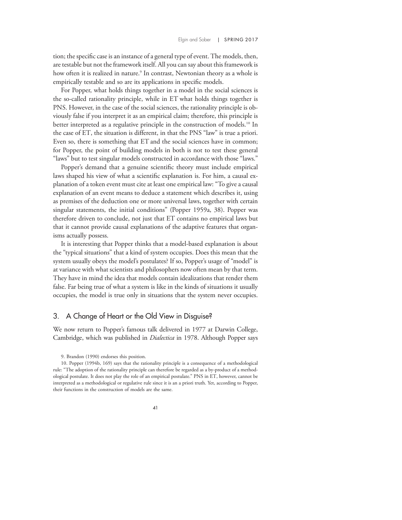tion; the specific case is an instance of a general type of event. The models, then, are testable but not the framework itself. All you can say about this framework is how often it is realized in nature.<sup>9</sup> In contrast, Newtonian theory as a whole is empirically testable and so are its applications in specific models.

For Popper, what holds things together in a model in the social sciences is the so-called rationality principle, while in ET what holds things together is PNS. However, in the case of the social sciences, the rationality principle is obviously false if you interpret it as an empirical claim; therefore, this principle is better interpreted as a regulative principle in the construction of models.<sup>10</sup> In the case of ET, the situation is different, in that the PNS "law" is true a priori. Even so, there is something that ET and the social sciences have in common; for Popper, the point of building models in both is not to test these general "laws" but to test singular models constructed in accordance with those "laws."

Popper's demand that a genuine scientific theory must include empirical laws shaped his view of what a scientific explanation is. For him, a causal explanation of a token event must cite at least one empirical law: "To give a causal explanation of an event means to deduce a statement which describes it, using as premises of the deduction one or more universal laws, together with certain singular statements, the initial conditions" (Popper 1959a, 38). Popper was therefore driven to conclude, not just that ET contains no empirical laws but that it cannot provide causal explanations of the adaptive features that organisms actually possess.

It is interesting that Popper thinks that a model-based explanation is about the "typical situations" that a kind of system occupies. Does this mean that the system usually obeys the model's postulates? If so, Popper's usage of "model" is at variance with what scientists and philosophers now often mean by that term. They have in mind the idea that models contain idealizations that render them false. Far being true of what a system is like in the kinds of situations it usually occupies, the model is true only in situations that the system never occupies.

## 3. A Change of Heart or the Old View in Disguise?

We now return to Popper's famous talk delivered in 1977 at Darwin College, Cambridge, which was published in *Dialectica* in 1978. Although Popper says

<sup>9.</sup> Brandon (1990) endorses this position.

<sup>10.</sup> Popper (1994b, 169) says that the rationality principle is a consequence of a methodological rule: "The adoption of the rationality principle can therefore be regarded as a by-product of a methodological postulate. It does not play the role of an empirical postulate." PNS in ET, however, cannot be interpreted as a methodological or regulative rule since it is an a priori truth. Yet, according to Popper, their functions in the construction of models are the same.

<sup>41</sup>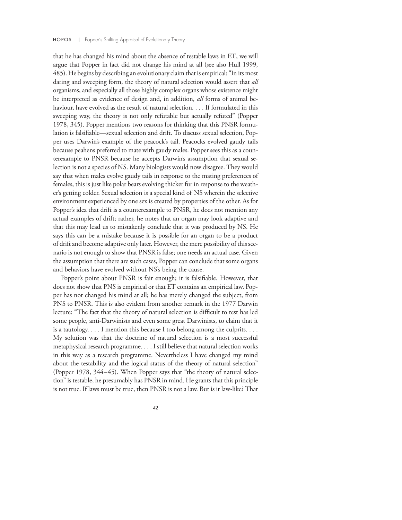that he has changed his mind about the absence of testable laws in ET, we will argue that Popper in fact did not change his mind at all (see also Hull 1999, 485). He begins by describing an evolutionary claim that is empirical:"In its most daring and sweeping form, the theory of natural selection would assert that all organisms, and especially all those highly complex organs whose existence might be interpreted as evidence of design and, in addition, all forms of animal behaviour, have evolved as the result of natural selection. ... If formulated in this sweeping way, the theory is not only refutable but actually refuted" (Popper 1978, 345). Popper mentions two reasons for thinking that this PNSR formulation is falsifiable—sexual selection and drift. To discuss sexual selection, Popper uses Darwin's example of the peacock's tail. Peacocks evolved gaudy tails because peahens preferred to mate with gaudy males. Popper sees this as a counterexample to PNSR because he accepts Darwin's assumption that sexual selection is not a species of NS. Many biologists would now disagree. They would say that when males evolve gaudy tails in response to the mating preferences of females, this is just like polar bears evolving thicker fur in response to the weather's getting colder. Sexual selection is a special kind of NS wherein the selective environment experienced by one sex is created by properties of the other. As for Popper's idea that drift is a counterexample to PNSR, he does not mention any actual examples of drift; rather, he notes that an organ may look adaptive and that this may lead us to mistakenly conclude that it was produced by NS. He says this can be a mistake because it is possible for an organ to be a product of drift and become adaptive only later. However, the mere possibility of this scenario is not enough to show that PNSR is false; one needs an actual case. Given the assumption that there are such cases, Popper can conclude that some organs and behaviors have evolved without NS's being the cause.

Popper's point about PNSR is fair enough; it is falsifiable. However, that does not show that PNS is empirical or that ET contains an empirical law. Popper has not changed his mind at all; he has merely changed the subject, from PNS to PNSR. This is also evident from another remark in the 1977 Darwin lecture: "The fact that the theory of natural selection is difficult to test has led some people, anti-Darwinists and even some great Darwinists, to claim that it is a tautology. ... I mention this because I too belong among the culprits. ... My solution was that the doctrine of natural selection is a most successful metaphysical research programme. ... I still believe that natural selection works in this way as a research programme. Nevertheless I have changed my mind about the testability and the logical status of the theory of natural selection" (Popper 1978, 344–45). When Popper says that "the theory of natural selection" is testable, he presumably has PNSR in mind. He grants that this principle is not true. If laws must be true, then PNSR is not a law. But is it law-like? That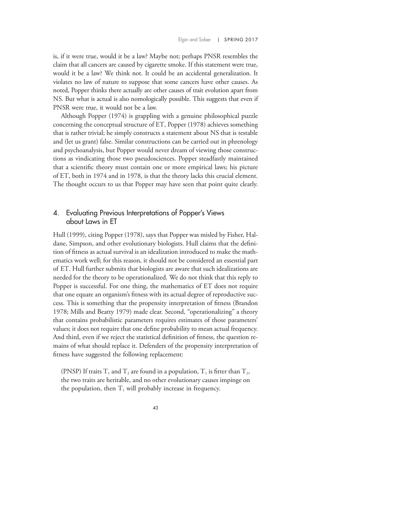is, if it were true, would it be a law? Maybe not; perhaps PNSR resembles the claim that all cancers are caused by cigarette smoke. If this statement were true, would it be a law? We think not. It could be an accidental generalization. It violates no law of nature to suppose that some cancers have other causes. As noted, Popper thinks there actually are other causes of trait evolution apart from NS. But what is actual is also nomologically possible. This suggests that even if PNSR were true, it would not be a law.

Although Popper (1974) is grappling with a genuine philosophical puzzle concerning the conceptual structure of ET, Popper (1978) achieves something that is rather trivial; he simply constructs a statement about NS that is testable and (let us grant) false. Similar constructions can be carried out in phrenology and psychoanalysis, but Popper would never dream of viewing those constructions as vindicating those two pseudosciences. Popper steadfastly maintained that a scientific theory must contain one or more empirical laws; his picture of ET, both in 1974 and in 1978, is that the theory lacks this crucial element. The thought occurs to us that Popper may have seen that point quite clearly.

## 4. Evaluating Previous Interpretations of Popper's Views about Laws in ET

Hull (1999), citing Popper (1978), says that Popper was misled by Fisher, Haldane, Simpson, and other evolutionary biologists. Hull claims that the definition of fitness as actual survival is an idealization introduced to make the mathematics work well; for this reason, it should not be considered an essential part of ET. Hull further submits that biologists are aware that such idealizations are needed for the theory to be operationalized. We do not think that this reply to Popper is successful. For one thing, the mathematics of ET does not require that one equate an organism's fitness with its actual degree of reproductive success. This is something that the propensity interpretation of fitness (Brandon 1978; Mills and Beatty 1979) made clear. Second, "operationalizing" a theory that contains probabilistic parameters requires estimates of those parameters' values; it does not require that one define probability to mean actual frequency. And third, even if we reject the statistical definition of fitness, the question remains of what should replace it. Defenders of the propensity interpretation of fitness have suggested the following replacement:

(PNSP) If traits  $T_1$  and  $T_2$  are found in a population,  $T_1$  is fitter than  $T_2$ , the two traits are heritable, and no other evolutionary causes impinge on the population, then  $T_1$  will probably increase in frequency.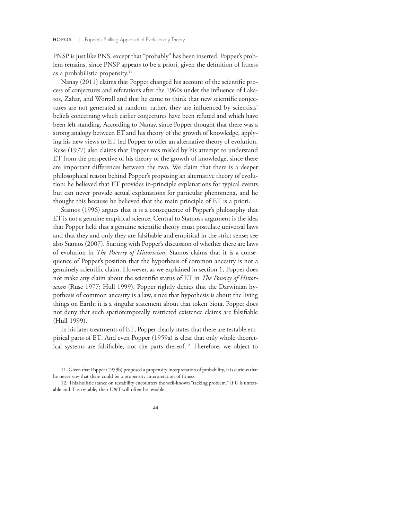PNSP is just like PNS, except that "probably" has been inserted. Popper's problem remains, since PNSP appears to be a priori, given the definition of fitness as a probabilistic propensity.<sup>11</sup>

Nanay (2011) claims that Popper changed his account of the scientific process of conjectures and refutations after the 1960s under the influence of Lakatos, Zahar, and Worrall and that he came to think that new scientific conjectures are not generated at random; rather, they are influenced by scientists' beliefs concerning which earlier conjectures have been refuted and which have been left standing. According to Nanay, since Popper thought that there was a strong analogy between ET and his theory of the growth of knowledge, applying his new views to ET led Popper to offer an alternative theory of evolution. Ruse (1977) also claims that Popper was misled by his attempt to understand ET from the perspective of his theory of the growth of knowledge, since there are important differences between the two. We claim that there is a deeper philosophical reason behind Popper's proposing an alternative theory of evolution: he believed that ET provides in-principle explanations for typical events but can never provide actual explanations for particular phenomena, and he thought this because he believed that the main principle of ET is a priori.

Stamos (1996) argues that it is a consequence of Popper's philosophy that ET is not a genuine empirical science. Central to Stamos's argument is the idea that Popper held that a genuine scientific theory must postulate universal laws and that they and only they are falsifiable and empirical in the strict sense; see also Stamos (2007). Starting with Popper's discussion of whether there are laws of evolution in *The Poverty of Historicism*, Stamos claims that it is a consequence of Popper's position that the hypothesis of common ancestry is not a genuinely scientific claim. However, as we explained in section 1, Popper does not make any claim about the scientific status of ET in The Poverty of Historicism (Ruse 1977; Hull 1999). Popper rightly denies that the Darwinian hypothesis of common ancestry is a law, since that hypothesis is about the living things on Earth; it is a singular statement about that token biota. Popper does not deny that such spatiotemporally restricted existence claims are falsifiable (Hull 1999).

In his later treatments of ET, Popper clearly states that there are testable empirical parts of ET. And even Popper (1959a) is clear that only whole theoretical systems are falsifiable, not the parts thereof.12 Therefore, we object to

<sup>12.</sup> This holistic stance on testability encounters the well-known "tacking problem." If U is untestable and T is testable, then U&T will often be testable.



<sup>11.</sup> Given that Popper (1959b) proposed a propensity interpretation of probability, it is curious that he never saw that there could be a propensity interpretation of fitness.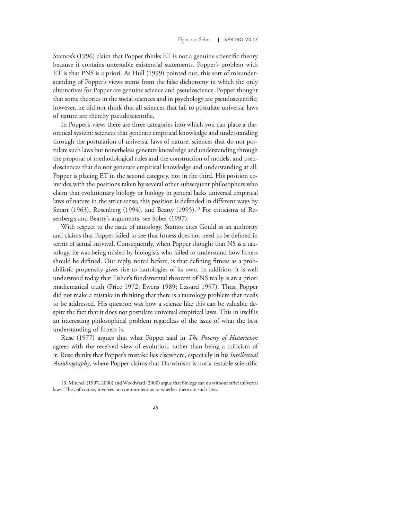Stamos's (1996) claim that Popper thinks ET is not a genuine scientific theory because it contains untestable existential statements. Popper's problem with ET is that PNS is a priori. As Hull (1999) pointed out, this sort of misunderstanding of Popper's views stems from the false dichotomy in which the only alternatives for Popper are genuine science and pseudoscience. Popper thought that some theories in the social sciences and in psychology are pseudoscientific; however, he did not think that all sciences that fail to postulate universal laws of nature are thereby pseudoscientific.

In Popper's view, there are three categories into which you can place a theoretical system: sciences that generate empirical knowledge and understanding through the postulation of universal laws of nature, sciences that do not postulate such laws but nonetheless generate knowledge and understanding through the proposal of methodological rules and the construction of models, and pseudosciences that do not generate empirical knowledge and understanding at all. Popper is placing ET in the second category, not in the third. His position coincides with the positions taken by several other subsequent philosophers who claim that evolutionary biology or biology in general lacks universal empirical laws of nature in the strict sense; this position is defended in different ways by Smart (1963), Rosenberg (1994), and Beatty (1995).<sup>13</sup> For criticisms of Rosenberg's and Beatty's arguments, see Sober (1997).

With respect to the issue of tautology, Stamos cites Gould as an authority and claims that Popper failed to see that fitness does not need to be defined in terms of actual survival. Consequently, when Popper thought that NS is a tautology, he was being misled by biologists who failed to understand how fitness should be defined. Our reply, noted before, is that defining fitness as a probabilistic propensity gives rise to tautologies of its own. In addition, it is well understood today that Fisher's fundamental theorem of NS really is an a priori mathematical truth (Price 1972; Ewens 1989; Lessard 1997). Thus, Popper did not make a mistake in thinking that there is a tautology problem that needs to be addressed. His question was how a science like this can be valuable despite the fact that it does not postulate universal empirical laws. This in itself is an interesting philosophical problem regardless of the issue of what the best understanding of fitness is.

Ruse (1977) argues that what Popper said in *The Poverty of Historicism* agrees with the received view of evolution, rather than being a criticism of it. Ruse thinks that Popper's mistake lies elsewhere, especially in his Intellectual Autobiography, where Popper claims that Darwinism is not a testable scientific

13. Mitchell (1997, 2000) and Woodward (2000) argue that biology can do without strict universal laws. This, of course, involves no commitment as to whether there are such laws.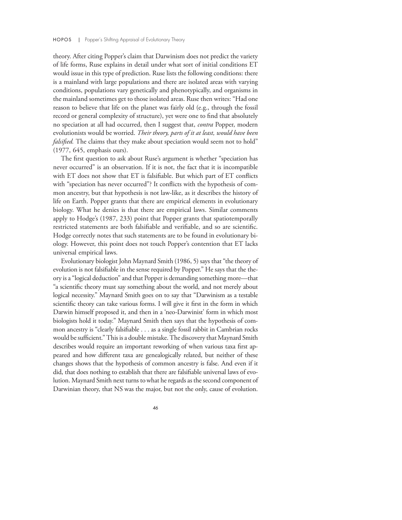theory. After citing Popper's claim that Darwinism does not predict the variety of life forms, Ruse explains in detail under what sort of initial conditions ET would issue in this type of prediction. Ruse lists the following conditions: there is a mainland with large populations and there are isolated areas with varying conditions, populations vary genetically and phenotypically, and organisms in the mainland sometimes get to those isolated areas. Ruse then writes: "Had one reason to believe that life on the planet was fairly old (e.g., through the fossil record or general complexity of structure), yet were one to find that absolutely no speciation at all had occurred, then I suggest that, *contra* Popper, modern evolutionists would be worried. Their theory, parts of it at least, would have been falsified. The claims that they make about speciation would seem not to hold" (1977, 645, emphasis ours).

The first question to ask about Ruse's argument is whether "speciation has never occurred" is an observation. If it is not, the fact that it is incompatible with ET does not show that ET is falsifiable. But which part of ET conflicts with "speciation has never occurred"? It conflicts with the hypothesis of common ancestry, but that hypothesis is not law-like, as it describes the history of life on Earth. Popper grants that there are empirical elements in evolutionary biology. What he denies is that there are empirical laws. Similar comments apply to Hodge's (1987, 233) point that Popper grants that spatiotemporally restricted statements are both falsifiable and verifiable, and so are scientific. Hodge correctly notes that such statements are to be found in evolutionary biology. However, this point does not touch Popper's contention that ET lacks universal empirical laws.

Evolutionary biologist John Maynard Smith (1986, 5) says that"the theory of evolution is not falsifiable in the sense required by Popper." He says that the theory is a"logical deduction"and that Popper is demanding something more—that "a scientific theory must say something about the world, and not merely about logical necessity." Maynard Smith goes on to say that "Darwinism as a testable scientific theory can take various forms. I will give it first in the form in which Darwin himself proposed it, and then in a 'neo-Darwinist' form in which most biologists hold it today." Maynard Smith then says that the hypothesis of common ancestry is "clearly falsifiable ... as a single fossil rabbit in Cambrian rocks would be sufficient." This is a double mistake. The discovery that Maynard Smith describes would require an important reworking of when various taxa first appeared and how different taxa are genealogically related, but neither of these changes shows that the hypothesis of common ancestry is false. And even if it did, that does nothing to establish that there are falsifiable universal laws of evolution. Maynard Smith next turns to what he regards as the second component of Darwinian theory, that NS was the major, but not the only, cause of evolution.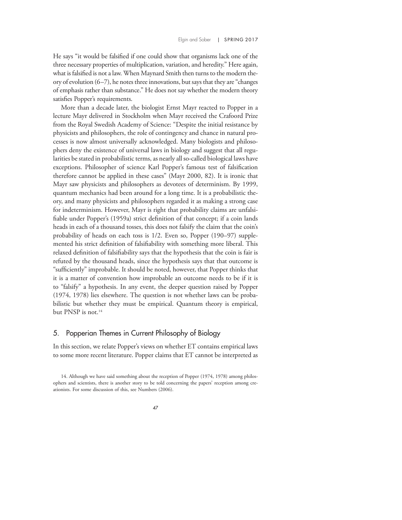He says "it would be falsified if one could show that organisms lack one of the three necessary properties of multiplication, variation, and heredity." Here again, what is falsified is not a law. When Maynard Smith then turns to the modern theory of evolution (6–7), he notes three innovations, but says that they are"changes of emphasis rather than substance." He does not say whether the modern theory satisfies Popper's requirements.

More than a decade later, the biologist Ernst Mayr reacted to Popper in a lecture Mayr delivered in Stockholm when Mayr received the Crafoord Prize from the Royal Swedish Academy of Science: "Despite the initial resistance by physicists and philosophers, the role of contingency and chance in natural processes is now almost universally acknowledged. Many biologists and philosophers deny the existence of universal laws in biology and suggest that all regularities be stated in probabilistic terms, as nearly all so-called biological laws have exceptions. Philosopher of science Karl Popper's famous test of falsification therefore cannot be applied in these cases" (Mayr 2000, 82). It is ironic that Mayr saw physicists and philosophers as devotees of determinism. By 1999, quantum mechanics had been around for a long time. It is a probabilistic theory, and many physicists and philosophers regarded it as making a strong case for indeterminism. However, Mayr is right that probability claims are unfalsifiable under Popper's (1959a) strict definition of that concept; if a coin lands heads in each of a thousand tosses, this does not falsify the claim that the coin's probability of heads on each toss is 1/2. Even so, Popper (190–97) supplemented his strict definition of falsifiability with something more liberal. This relaxed definition of falsifiability says that the hypothesis that the coin is fair is refuted by the thousand heads, since the hypothesis says that that outcome is "sufficiently" improbable. It should be noted, however, that Popper thinks that it is a matter of convention how improbable an outcome needs to be if it is to "falsify" a hypothesis. In any event, the deeper question raised by Popper (1974, 1978) lies elsewhere. The question is not whether laws can be probabilistic but whether they must be empirical. Quantum theory is empirical, but PNSP is not.<sup>14</sup>

## 5. Popperian Themes in Current Philosophy of Biology

In this section, we relate Popper's views on whether ET contains empirical laws to some more recent literature. Popper claims that ET cannot be interpreted as

14. Although we have said something about the reception of Popper (1974, 1978) among philosophers and scientists, there is another story to be told concerning the papers' reception among creationists. For some discussion of this, see Numbers (2006).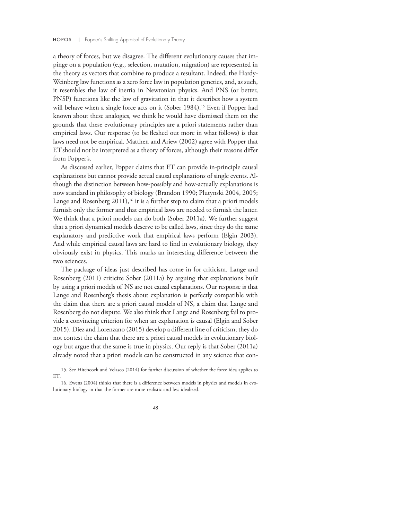a theory of forces, but we disagree. The different evolutionary causes that impinge on a population (e.g., selection, mutation, migration) are represented in the theory as vectors that combine to produce a resultant. Indeed, the Hardy-Weinberg law functions as a zero force law in population genetics, and, as such, it resembles the law of inertia in Newtonian physics. And PNS (or better, PNSP) functions like the law of gravitation in that it describes how a system will behave when a single force acts on it (Sober 1984).<sup>15</sup> Even if Popper had known about these analogies, we think he would have dismissed them on the grounds that these evolutionary principles are a priori statements rather than empirical laws. Our response (to be fleshed out more in what follows) is that laws need not be empirical. Matthen and Ariew (2002) agree with Popper that ET should not be interpreted as a theory of forces, although their reasons differ from Popper's.

As discussed earlier, Popper claims that ET can provide in-principle causal explanations but cannot provide actual causal explanations of single events. Although the distinction between how-possibly and how-actually explanations is now standard in philosophy of biology (Brandon 1990; Plutynski 2004, 2005; Lange and Rosenberg  $2011$ ,<sup>16</sup> it is a further step to claim that a priori models furnish only the former and that empirical laws are needed to furnish the latter. We think that a priori models can do both (Sober 2011a). We further suggest that a priori dynamical models deserve to be called laws, since they do the same explanatory and predictive work that empirical laws perform (Elgin 2003). And while empirical causal laws are hard to find in evolutionary biology, they obviously exist in physics. This marks an interesting difference between the two sciences.

The package of ideas just described has come in for criticism. Lange and Rosenberg (2011) criticize Sober (2011a) by arguing that explanations built by using a priori models of NS are not causal explanations. Our response is that Lange and Rosenberg's thesis about explanation is perfectly compatible with the claim that there are a priori causal models of NS, a claim that Lange and Rosenberg do not dispute. We also think that Lange and Rosenberg fail to provide a convincing criterion for when an explanation is causal (Elgin and Sober 2015). Díez and Lorenzano (2015) develop a different line of criticism; they do not contest the claim that there are a priori causal models in evolutionary biology but argue that the same is true in physics. Our reply is that Sober (2011a) already noted that a priori models can be constructed in any science that con-

15. See Hitchcock and Velasco (2014) for further discussion of whether the force idea applies to ET.

16. Ewens (2004) thinks that there is a difference between models in physics and models in evolutionary biology in that the former are more realistic and less idealized.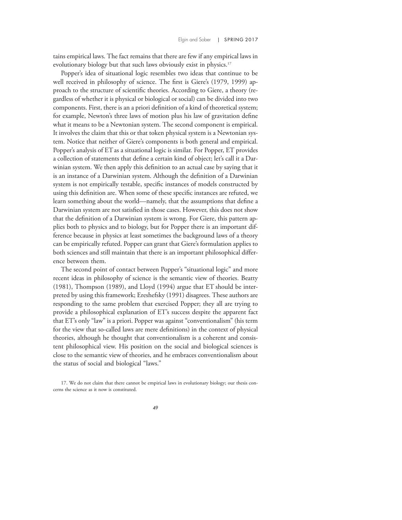tains empirical laws. The fact remains that there are few if any empirical laws in evolutionary biology but that such laws obviously exist in physics.<sup>17</sup>

Popper's idea of situational logic resembles two ideas that continue to be well received in philosophy of science. The first is Giere's (1979, 1999) approach to the structure of scientific theories. According to Giere, a theory (regardless of whether it is physical or biological or social) can be divided into two components. First, there is an a priori definition of a kind of theoretical system; for example, Newton's three laws of motion plus his law of gravitation define what it means to be a Newtonian system. The second component is empirical. It involves the claim that this or that token physical system is a Newtonian system. Notice that neither of Giere's components is both general and empirical. Popper's analysis of ET as a situational logic is similar. For Popper, ET provides a collection of statements that define a certain kind of object; let's call it a Darwinian system. We then apply this definition to an actual case by saying that it is an instance of a Darwinian system. Although the definition of a Darwinian system is not empirically testable, specific instances of models constructed by using this definition are. When some of these specific instances are refuted, we learn something about the world—namely, that the assumptions that define a Darwinian system are not satisfied in those cases. However, this does not show that the definition of a Darwinian system is wrong. For Giere, this pattern applies both to physics and to biology, but for Popper there is an important difference because in physics at least sometimes the background laws of a theory can be empirically refuted. Popper can grant that Giere's formulation applies to both sciences and still maintain that there is an important philosophical difference between them.

The second point of contact between Popper's "situational logic" and more recent ideas in philosophy of science is the semantic view of theories. Beatty (1981), Thompson (1989), and Lloyd (1994) argue that ET should be interpreted by using this framework; Ereshefsky (1991) disagrees. These authors are responding to the same problem that exercised Popper; they all are trying to provide a philosophical explanation of ET's success despite the apparent fact that ET's only "law" is a priori. Popper was against "conventionalism" (his term for the view that so-called laws are mere definitions) in the context of physical theories, although he thought that conventionalism is a coherent and consistent philosophical view. His position on the social and biological sciences is close to the semantic view of theories, and he embraces conventionalism about the status of social and biological "laws."

17. We do not claim that there cannot be empirical laws in evolutionary biology; our thesis concerns the science as it now is constituted.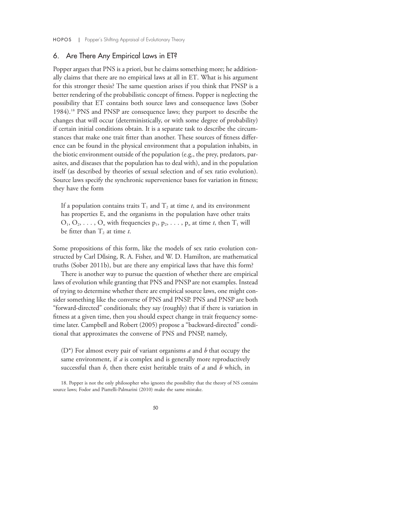## 6. Are There Any Empirical Laws in ET?

Popper argues that PNS is a priori, but he claims something more; he additionally claims that there are no empirical laws at all in ET. What is his argument for this stronger thesis? The same question arises if you think that PNSP is a better rendering of the probabilistic concept of fitness. Popper is neglecting the possibility that ET contains both source laws and consequence laws (Sober 1984).<sup>18</sup> PNS and PNSP are consequence laws; they purport to describe the changes that will occur (deterministically, or with some degree of probability) if certain initial conditions obtain. It is a separate task to describe the circumstances that make one trait fitter than another. These sources of fitness difference can be found in the physical environment that a population inhabits, in the biotic environment outside of the population (e.g., the prey, predators, parasites, and diseases that the population has to deal with), and in the population itself (as described by theories of sexual selection and of sex ratio evolution). Source laws specify the synchronic supervenience bases for variation in fitness; they have the form

If a population contains traits  $T_1$  and  $T_2$  at time t, and its environment has properties E, and the organisms in the population have other traits  $O_1, O_2, \ldots, O_n$  with frequencies  $p_1, p_2, \ldots, p_n$  at time t, then  $T_1$  will be fitter than  $T_2$  at time t.

Some propositions of this form, like the models of sex ratio evolution constructed by Carl Düsing, R. A. Fisher, and W. D. Hamilton, are mathematical truths (Sober 2011b), but are there any empirical laws that have this form?

There is another way to pursue the question of whether there are empirical laws of evolution while granting that PNS and PNSP are not examples. Instead of trying to determine whether there are empirical source laws, one might consider something like the converse of PNS and PNSP. PNS and PNSP are both "forward-directed" conditionals; they say (roughly) that if there is variation in fitness at a given time, then you should expect change in trait frequency sometime later. Campbell and Robert (2005) propose a "backward-directed" conditional that approximates the converse of PNS and PNSP, namely,

( $D^*$ ) For almost every pair of variant organisms a and b that occupy the same environment, if  $a$  is complex and is generally more reproductively successful than  $b$ , then there exist heritable traits of  $a$  and  $b$  which, in

18. Popper is not the only philosopher who ignores the possibility that the theory of NS contains source laws; Fodor and Piattelli-Palmarini (2010) make the same mistake.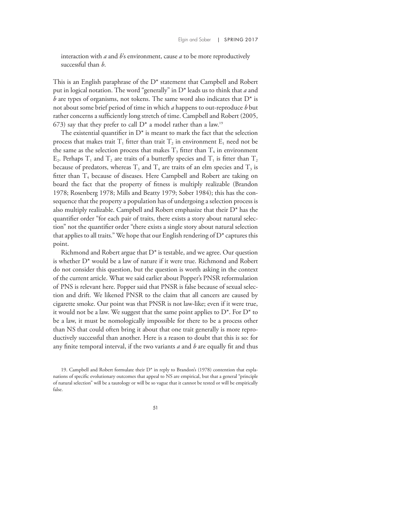interaction with *a* and *b*'s environment, cause *a* to be more reproductively successful than  $b$ .

This is an English paraphrase of the D\* statement that Campbell and Robert put in logical notation. The word "generally" in  $D^*$  leads us to think that a and b are types of organisms, not tokens. The same word also indicates that  $D^*$  is not about some brief period of time in which  $a$  happens to out-reproduce  $b$  but rather concerns a sufficiently long stretch of time. Campbell and Robert (2005, 673) say that they prefer to call  $D^*$  a model rather than a law.<sup>19</sup>

The existential quantifier in  $D^*$  is meant to mark the fact that the selection process that makes trait  $T_1$  fitter than trait  $T_2$  in environment  $E_1$  need not be the same as the selection process that makes  $T_3$  fitter than  $T_4$  in environment  $E_2$ . Perhaps  $T_1$  and  $T_2$  are traits of a butterfly species and  $T_1$  is fitter than  $T_2$ because of predators, whereas  $T_3$  and  $T_4$  are traits of an elm species and  $T_3$  is fitter than  $T_4$  because of diseases. Here Campbell and Robert are taking on board the fact that the property of fitness is multiply realizable (Brandon 1978; Rosenberg 1978; Mills and Beatty 1979; Sober 1984); this has the consequence that the property a population has of undergoing a selection process is also multiply realizable. Campbell and Robert emphasize that their D\* has the quantifier order "for each pair of traits, there exists a story about natural selection" not the quantifier order "there exists a single story about natural selection that applies to all traits." We hope that our English rendering of  $D^*$  captures this point.

Richmond and Robert argue that  $D^*$  is testable, and we agree. Our question is whether D\* would be a law of nature if it were true. Richmond and Robert do not consider this question, but the question is worth asking in the context of the current article. What we said earlier about Popper's PNSR reformulation of PNS is relevant here. Popper said that PNSR is false because of sexual selection and drift. We likened PNSR to the claim that all cancers are caused by cigarette smoke. Our point was that PNSR is not law-like; even if it were true, it would not be a law. We suggest that the same point applies to  $D^*$ . For  $D^*$  to be a law, it must be nomologically impossible for there to be a process other than NS that could often bring it about that one trait generally is more reproductively successful than another. Here is a reason to doubt that this is so: for any finite temporal interval, if the two variants  $a$  and  $b$  are equally fit and thus

<sup>19.</sup> Campbell and Robert formulate their D\* in reply to Brandon's (1978) contention that explanations of specific evolutionary outcomes that appeal to NS are empirical, but that a general "principle of natural selection" will be a tautology or will be so vague that it cannot be tested or will be empirically false.

<sup>51</sup>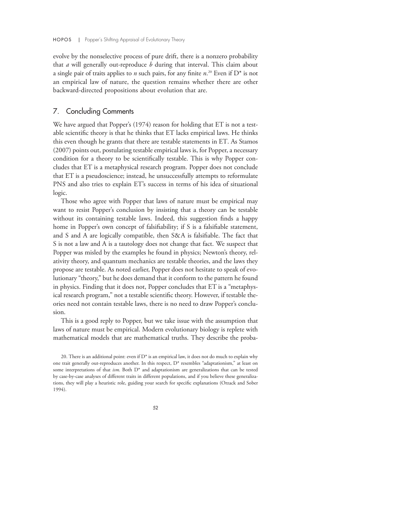evolve by the nonselective process of pure drift, there is a nonzero probability that  $a$  will generally out-reproduce  $b$  during that interval. This claim about a single pair of traits applies to *n* such pairs, for any finite  $n^{20}$  Even if D<sup>\*</sup> is not an empirical law of nature, the question remains whether there are other backward-directed propositions about evolution that are.

#### 7. Concluding Comments

We have argued that Popper's (1974) reason for holding that ET is not a testable scientific theory is that he thinks that ET lacks empirical laws. He thinks this even though he grants that there are testable statements in ET. As Stamos (2007) points out, postulating testable empirical laws is, for Popper, a necessary condition for a theory to be scientifically testable. This is why Popper concludes that ET is a metaphysical research program. Popper does not conclude that ET is a pseudoscience; instead, he unsuccessfully attempts to reformulate PNS and also tries to explain ET's success in terms of his idea of situational logic.

Those who agree with Popper that laws of nature must be empirical may want to resist Popper's conclusion by insisting that a theory can be testable without its containing testable laws. Indeed, this suggestion finds a happy home in Popper's own concept of falsifiability; if S is a falsifiable statement, and S and A are logically compatible, then S&A is falsifiable. The fact that S is not a law and A is a tautology does not change that fact. We suspect that Popper was misled by the examples he found in physics; Newton's theory, relativity theory, and quantum mechanics are testable theories, and the laws they propose are testable. As noted earlier, Popper does not hesitate to speak of evolutionary "theory," but he does demand that it conform to the pattern he found in physics. Finding that it does not, Popper concludes that ET is a "metaphysical research program," not a testable scientific theory. However, if testable theories need not contain testable laws, there is no need to draw Popper's conclusion.

This is a good reply to Popper, but we take issue with the assumption that laws of nature must be empirical. Modern evolutionary biology is replete with mathematical models that are mathematical truths. They describe the proba-

20. There is an additional point: even if D\* is an empirical law, it does not do much to explain why one trait generally out-reproduces another. In this respect, D\* resembles "adaptationism," at least on some interpretations of that ism. Both D<sup>\*</sup> and adaptationism are generalizations that can be tested by case-by-case analyses of different traits in different populations, and if you believe these generalizations, they will play a heuristic role, guiding your search for specific explanations (Orzack and Sober 1994).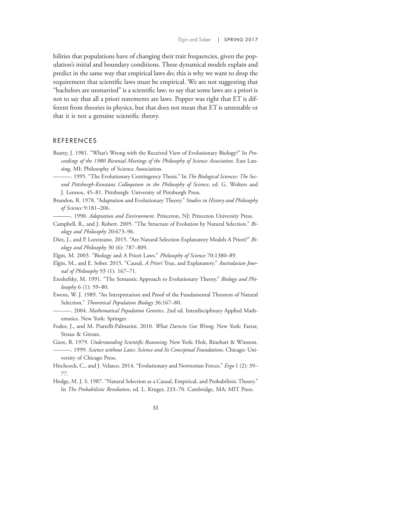bilities that populations have of changing their trait frequencies, given the population's initial and boundary conditions. These dynamical models explain and predict in the same way that empirical laws do; this is why we want to drop the requirement that scientific laws must be empirical. We are not suggesting that "bachelors are unmarried" is a scientific law; to say that some laws are a priori is not to say that all a priori statements are laws. Popper was right that ET is different from theories in physics, but that does not mean that ET is untestable or that it is not a genuine scientific theory.

#### REFERENCES

- Beatty, J. 1981. "What's Wrong with the Received View of Evolutionary Biology?" In Proceedings of the 1980 Biennial Meetings of the Philosophy of Science Association. East Lansing, MI: Philosophy of Science Association.
- -. 1995. "The Evolutionary Contingency Thesis." In The Biological Sciences: The Second Pittsburgh-Konstanz Colloquium in the Philosophy of Science, ed. G. Wolters and J. Lennox, 45–81. Pittsburgh: University of Pittsburgh Press.
- Brandon, R. 1978. "Adaptation and Evolutionary Theory." Studies in History and Philosophy of Science 9:181–206.

-. 1990. Adaptation and Environment. Princeton, NJ: Princeton University Press.

- Campbell, R., and J. Robert. 2005. "The Structure of Evolution by Natural Selection." Biology and Philosophy 20:673–96.
- Díez, J., and P. Lorenzano. 2015. "Are Natural Selection Explanatory Models A Priori?" Biology and Philosophy 30 (6): 787–809.
- Elgin, M. 2003. "Biology and A Priori Laws." Philosophy of Science 70:1380–89.

Elgin, M., and E. Sober. 2015. "Causal, A Priori True, and Explanatory." Australasian Journal of Philosophy 93 (1): 167–71.

- Ereshefsky, M. 1991. "The Semantic Approach to Evolutionary Theory." Biology and Philosophy 6 (1): 59–80.
- Ewens, W. J. 1989. "An Interpretation and Proof of the Fundamental Theorem of Natural Selection." Theoretical Population Biology 36:167-80.
- -. 2004. Mathematical Population Genetics. 2nd ed. Interdisciplinary Applied Mathematics. New York: Springer.
- Fodor, J., and M. Piattelli-Palmarini. 2010. What Darwin Got Wrong. New York: Farrar, Straus & Giroux.
- Giere, R. 1979. Understanding Scientific Reasoning. New York: Holt, Rinehart & Winston. ———. 1999. Science without Laws: Science and Its Conceptual Foundations. Chicago: University of Chicago Press.
- Hitchcock, C., and J. Velasco. 2014. "Evolutionary and Newtonian Forces." Ergo 1 (2): 39-77.
- Hodge, M. J. S. 1987. "Natural Selection as a Causal, Empirical, and Probabilistic Theory." In The Probabilistic Revolution, ed. L. Kruger, 233–70. Cambridge, MA: MIT Press.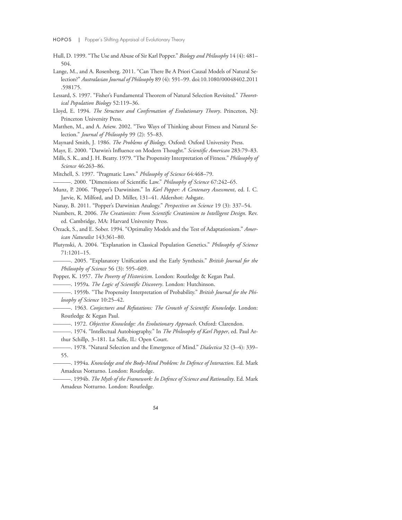- Hull, D. 1999. "The Use and Abuse of Sir Karl Popper." Biology and Philosophy 14 (4): 481-504.
- Lange, M., and A. Rosenberg. 2011. "Can There Be A Priori Causal Models of Natural Selection?" Australasian Journal of Philosophy 89 (4): 591–99. doi:10.1080/00048402.2011 .598175.
- Lessard, S. 1997. "Fisher's Fundamental Theorem of Natural Selection Revisited." Theoretical Population Biology 52:119–36.
- Lloyd, E. 1994. The Structure and Confirmation of Evolutionary Theory. Princeton, NJ: Princeton University Press.
- Matthen, M., and A. Ariew. 2002. "Two Ways of Thinking about Fitness and Natural Selection." Journal of Philosophy 99 (2): 55–83.

Maynard Smith, J. 1986. The Problems of Biology. Oxford: Oxford University Press.

- Mayr, E. 2000. "Darwin's Influence on Modern Thought." Scientific American 283:79–83.
- Mills, S. K., and J. H. Beatty. 1979. "The Propensity Interpretation of Fitness." Philosophy of Science 46:263–86.
- Mitchell, S. 1997. "Pragmatic Laws." Philosophy of Science 64:468–79.
- —. 2000. "Dimensions of Scientific Law." Philosophy of Science 67:242-65.
- Munz, P. 2006. "Popper's Darwinism." In Karl Popper: A Centenary Assessment, ed. I. C. Jarvie, K. Milford, and D. Miller, 131–41. Aldershot: Ashgate.
- Nanay, B. 2011. "Popper's Darwinian Analogy." Perspectives on Science 19 (3): 337–54.
- Numbers, R. 2006. The Creationists: From Scientific Creationism to Intelligent Design. Rev. ed. Cambridge, MA: Harvard University Press.

Orzack, S., and E. Sober. 1994. "Optimality Models and the Test of Adaptationism." American Naturalist 143:361–80.

Plutynski, A. 2004. "Explanation in Classical Population Genetics." Philosophy of Science 71:1201–15.

-. 2005. "Explanatory Unification and the Early Synthesis." British Journal for the Philosophy of Science 56 (3): 595–609.

Popper, K. 1957. The Poverty of Historicism. London: Routledge & Kegan Paul.

-. 1959a. The Logic of Scientific Discovery. London: Hutchinson.

-. 1959b. "The Propensity Interpretation of Probability." British Journal for the Philosophy of Science 10:25–42.

———. 1963. Conjectures and Refutations: The Growth of Scientific Knowledge. London: Routledge & Kegan Paul.

-. 1972. Objective Knowledge: An Evolutionary Approach. Oxford: Clarendon.

-. 1974. "Intellectual Autobiography." In The Philosophy of Karl Popper, ed. Paul Arthur Schillp, 3–181. La Salle, IL: Open Court.

-. 1978. "Natural Selection and the Emergence of Mind." Dialectica 32 (3-4): 339-55.

———. 1994a. Knowledge and the Body-Mind Problem: In Defence of Interaction. Ed. Mark Amadeus Notturno. London: Routledge.

-. 1994b. *The Myth of the Framework: In Defence of Science and Rationality*. Ed. Mark Amadeus Notturno. London: Routledge.